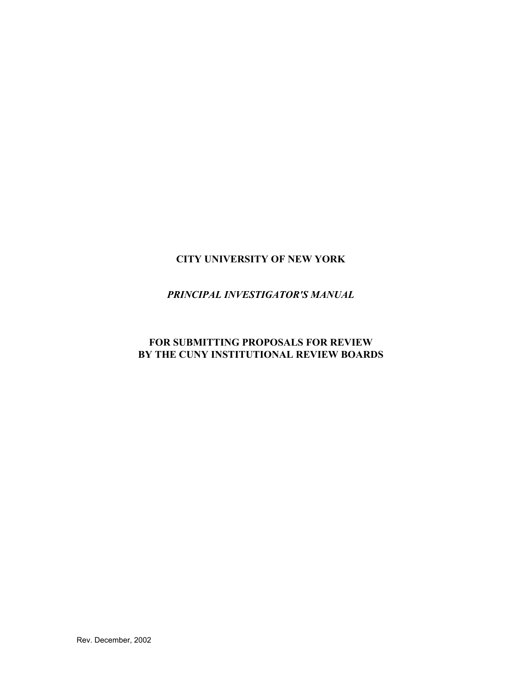# **CITY UNIVERSITY OF NEW YORK**

## *PRINCIPAL INVESTIGATOR'S MANUAL*

## **FOR SUBMITTING PROPOSALS FOR REVIEW BY THE CUNY INSTITUTIONAL REVIEW BOARDS**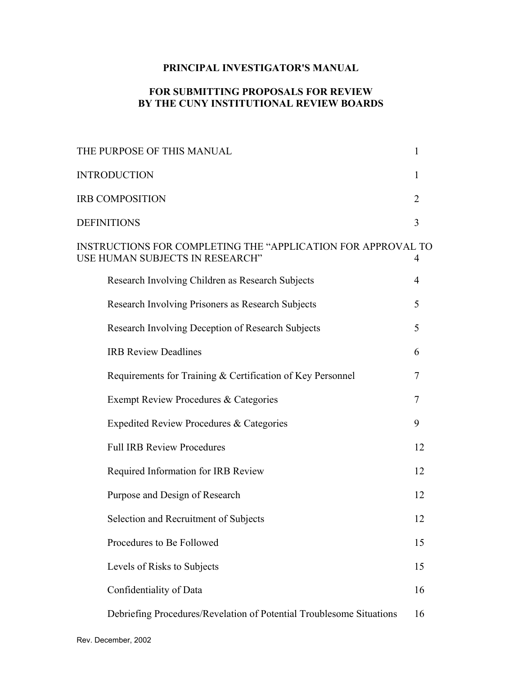## **PRINCIPAL INVESTIGATOR'S MANUAL**

#### **FOR SUBMITTING PROPOSALS FOR REVIEW BY THE CUNY INSTITUTIONAL REVIEW BOARDS**

| <b>INTRODUCTION</b><br>1<br><b>IRB COMPOSITION</b><br>$\overline{2}$<br><b>DEFINITIONS</b><br>3<br>INSTRUCTIONS FOR COMPLETING THE "APPLICATION FOR APPROVAL TO<br>USE HUMAN SUBJECTS IN RESEARCH"<br>4<br>Research Involving Children as Research Subjects<br>$\overline{4}$<br>5<br>Research Involving Prisoners as Research Subjects<br>5<br>Research Involving Deception of Research Subjects<br><b>IRB Review Deadlines</b><br>6<br>Requirements for Training & Certification of Key Personnel<br>7 |  |
|----------------------------------------------------------------------------------------------------------------------------------------------------------------------------------------------------------------------------------------------------------------------------------------------------------------------------------------------------------------------------------------------------------------------------------------------------------------------------------------------------------|--|
|                                                                                                                                                                                                                                                                                                                                                                                                                                                                                                          |  |
|                                                                                                                                                                                                                                                                                                                                                                                                                                                                                                          |  |
|                                                                                                                                                                                                                                                                                                                                                                                                                                                                                                          |  |
|                                                                                                                                                                                                                                                                                                                                                                                                                                                                                                          |  |
|                                                                                                                                                                                                                                                                                                                                                                                                                                                                                                          |  |
|                                                                                                                                                                                                                                                                                                                                                                                                                                                                                                          |  |
|                                                                                                                                                                                                                                                                                                                                                                                                                                                                                                          |  |
|                                                                                                                                                                                                                                                                                                                                                                                                                                                                                                          |  |
|                                                                                                                                                                                                                                                                                                                                                                                                                                                                                                          |  |
| Exempt Review Procedures & Categories<br>$\overline{7}$                                                                                                                                                                                                                                                                                                                                                                                                                                                  |  |
| Expedited Review Procedures & Categories<br>9                                                                                                                                                                                                                                                                                                                                                                                                                                                            |  |
| <b>Full IRB Review Procedures</b><br>12                                                                                                                                                                                                                                                                                                                                                                                                                                                                  |  |
| Required Information for IRB Review<br>12                                                                                                                                                                                                                                                                                                                                                                                                                                                                |  |
| Purpose and Design of Research<br>12                                                                                                                                                                                                                                                                                                                                                                                                                                                                     |  |
| Selection and Recruitment of Subjects<br>12                                                                                                                                                                                                                                                                                                                                                                                                                                                              |  |
| Procedures to Be Followed<br>15                                                                                                                                                                                                                                                                                                                                                                                                                                                                          |  |
| Levels of Risks to Subjects<br>15                                                                                                                                                                                                                                                                                                                                                                                                                                                                        |  |
| Confidentiality of Data<br>16                                                                                                                                                                                                                                                                                                                                                                                                                                                                            |  |
| Debriefing Procedures/Revelation of Potential Troublesome Situations<br>16                                                                                                                                                                                                                                                                                                                                                                                                                               |  |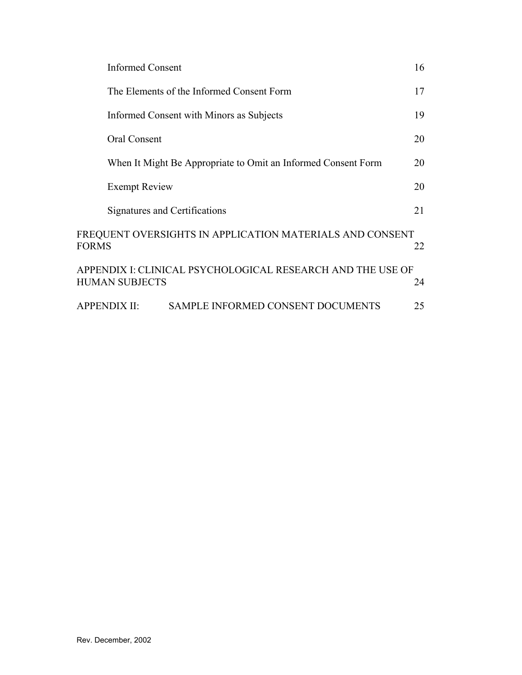|              | <b>Informed Consent</b>                                                             | 16 |
|--------------|-------------------------------------------------------------------------------------|----|
|              | The Elements of the Informed Consent Form                                           | 17 |
|              | Informed Consent with Minors as Subjects                                            | 19 |
|              | <b>Oral Consent</b>                                                                 | 20 |
|              | When It Might Be Appropriate to Omit an Informed Consent Form                       | 20 |
|              | <b>Exempt Review</b>                                                                | 20 |
|              | Signatures and Certifications                                                       | 21 |
| <b>FORMS</b> | FREQUENT OVERSIGHTS IN APPLICATION MATERIALS AND CONSENT                            | 22 |
|              | APPENDIX I: CLINICAL PSYCHOLOGICAL RESEARCH AND THE USE OF<br><b>HUMAN SUBJECTS</b> | 24 |
|              | <b>SAMPLE INFORMED CONSENT DOCUMENTS</b><br><b>APPENDIX II:</b>                     | 25 |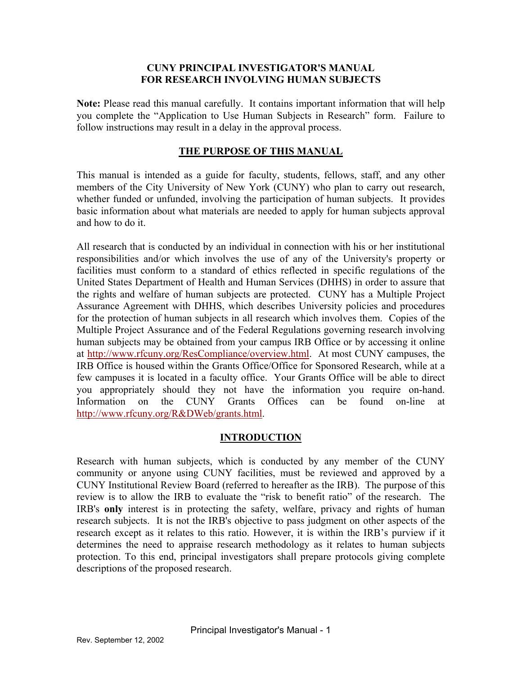#### **CUNY PRINCIPAL INVESTIGATOR'S MANUAL FOR RESEARCH INVOLVING HUMAN SUBJECTS**

**Note:** Please read this manual carefully. It contains important information that will help you complete the "Application to Use Human Subjects in Research" form. Failure to follow instructions may result in a delay in the approval process.

#### **THE PURPOSE OF THIS MANUAL**

This manual is intended as a guide for faculty, students, fellows, staff, and any other members of the City University of New York (CUNY) who plan to carry out research, whether funded or unfunded, involving the participation of human subjects. It provides basic information about what materials are needed to apply for human subjects approval and how to do it.

All research that is conducted by an individual in connection with his or her institutional responsibilities and/or which involves the use of any of the University's property or facilities must conform to a standard of ethics reflected in specific regulations of the United States Department of Health and Human Services (DHHS) in order to assure that the rights and welfare of human subjects are protected. CUNY has a Multiple Project Assurance Agreement with DHHS, which describes University policies and procedures for the protection of human subjects in all research which involves them. Copies of the Multiple Project Assurance and of the Federal Regulations governing research involving human subjects may be obtained from your campus IRB Office or by accessing it online at [http://www.rfcuny.org/ResCompliance/overview.html.](http://www.rfcuny.org/ResCompliance/overview.html) At most CUNY campuses, the IRB Office is housed within the Grants Office/Office for Sponsored Research, while at a few campuses it is located in a faculty office. Your Grants Office will be able to direct you appropriately should they not have the information you require on-hand. Information on the CUNY Grants Offices can be found on-line at [http://www.rfcuny.org/R&DWeb/grants.html.](http://www.rfcuny.org/R&DWeb/grants.html)

#### **INTRODUCTION**

Research with human subjects, which is conducted by any member of the CUNY community or anyone using CUNY facilities, must be reviewed and approved by a CUNY Institutional Review Board (referred to hereafter as the IRB). The purpose of this review is to allow the IRB to evaluate the "risk to benefit ratio" of the research. The IRB's **only** interest is in protecting the safety, welfare, privacy and rights of human research subjects. It is not the IRB's objective to pass judgment on other aspects of the research except as it relates to this ratio. However, it is within the IRB's purview if it determines the need to appraise research methodology as it relates to human subjects protection. To this end, principal investigators shall prepare protocols giving complete descriptions of the proposed research.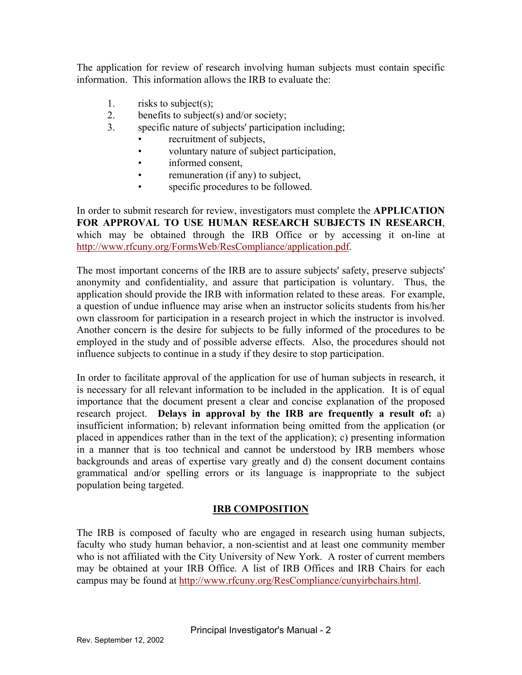The application for review of research involving human subjects must contain specific information. This information allows the IRB to evaluate the:

- 1. risks to subject(s);
- 2. benefits to subject(s) and/or society;
- 3. specific nature of subjects' participation including;
	- recruitment of subjects,
	- voluntary nature of subject participation,
	- informed consent,
	- remuneration (if any) to subject,
	- specific procedures to be followed.

In order to submit research for review, investigators must complete the **APPLICATION FOR APPROVAL TO USE HUMAN RESEARCH SUBJECTS IN RESEARCH**, which may be obtained through the IRB Office or by accessing it on-line at [http://www.rfcuny.org/FormsWeb/ResCompliance/application.pdf.](http://www.rfcuny.org/FormsWeb/ResCompliance/application.pdf)

The most important concerns of the IRB are to assure subjects' safety, preserve subjects' anonymity and confidentiality, and assure that participation is voluntary. Thus, the application should provide the IRB with information related to these areas. For example, a question of undue influence may arise when an instructor solicits students from his/her own classroom for participation in a research project in which the instructor is involved. Another concern is the desire for subjects to be fully informed of the procedures to be employed in the study and of possible adverse effects. Also, the procedures should not influence subjects to continue in a study if they desire to stop participation.

In order to facilitate approval of the application for use of human subjects in research, it is necessary for all relevant information to be included in the application. It is of equal importance that the document present a clear and concise explanation of the proposed research project. **Delays in approval by the IRB are frequently a result of:** a) insufficient information; b) relevant information being omitted from the application (or placed in appendices rather than in the text of the application); c) presenting information in a manner that is too technical and cannot be understood by IRB members whose backgrounds and areas of expertise vary greatly and d) the consent document contains grammatical and/or spelling errors or its language is inappropriate to the subject population being targeted.

## **IRB COMPOSITION**

The IRB is composed of faculty who are engaged in research using human subjects, faculty who study human behavior, a non-scientist and at least one community member who is not affiliated with the City University of New York. A roster of current members may be obtained at your IRB Office. A list of IRB Offices and IRB Chairs for each campus may be found at<http://www.rfcuny.org/ResCompliance/cunyirbchairs.html>.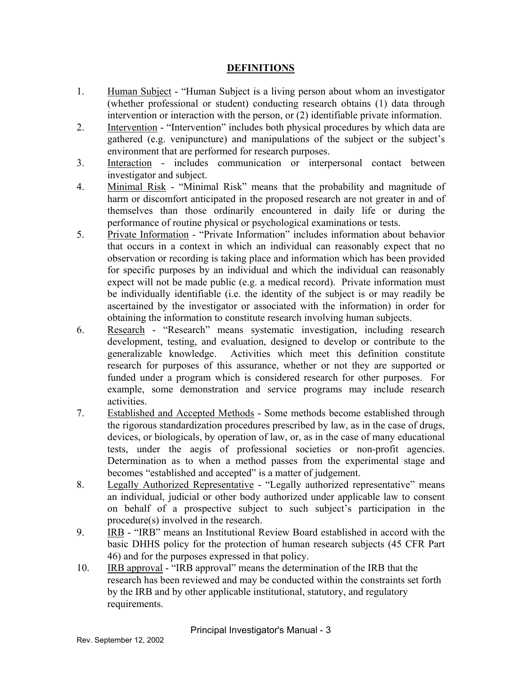#### **DEFINITIONS**

- 1. Human Subject "Human Subject is a living person about whom an investigator (whether professional or student) conducting research obtains (1) data through intervention or interaction with the person, or (2) identifiable private information.
- 2. Intervention "Intervention" includes both physical procedures by which data are gathered (e.g. venipuncture) and manipulations of the subject or the subject's environment that are performed for research purposes.
- 3. Interaction includes communication or interpersonal contact between investigator and subject.
- 4. Minimal Risk "Minimal Risk" means that the probability and magnitude of harm or discomfort anticipated in the proposed research are not greater in and of themselves than those ordinarily encountered in daily life or during the performance of routine physical or psychological examinations or tests.
- 5. Private Information "Private Information" includes information about behavior that occurs in a context in which an individual can reasonably expect that no observation or recording is taking place and information which has been provided for specific purposes by an individual and which the individual can reasonably expect will not be made public (e.g. a medical record). Private information must be individually identifiable (i.e. the identity of the subject is or may readily be ascertained by the investigator or associated with the information) in order for obtaining the information to constitute research involving human subjects.
- 6. Research "Research" means systematic investigation, including research development, testing, and evaluation, designed to develop or contribute to the generalizable knowledge. Activities which meet this definition constitute research for purposes of this assurance, whether or not they are supported or funded under a program which is considered research for other purposes. For example, some demonstration and service programs may include research activities.
- 7. Established and Accepted Methods Some methods become established through the rigorous standardization procedures prescribed by law, as in the case of drugs, devices, or biologicals, by operation of law, or, as in the case of many educational tests, under the aegis of professional societies or non-profit agencies. Determination as to when a method passes from the experimental stage and becomes "established and accepted" is a matter of judgement.
- 8. Legally Authorized Representative "Legally authorized representative" means an individual, judicial or other body authorized under applicable law to consent on behalf of a prospective subject to such subject's participation in the procedure(s) involved in the research.
- 9. IRB "IRB" means an Institutional Review Board established in accord with the basic DHHS policy for the protection of human research subjects (45 CFR Part 46) and for the purposes expressed in that policy.
- 10. IRB approval "IRB approval" means the determination of the IRB that the research has been reviewed and may be conducted within the constraints set forth by the IRB and by other applicable institutional, statutory, and regulatory requirements.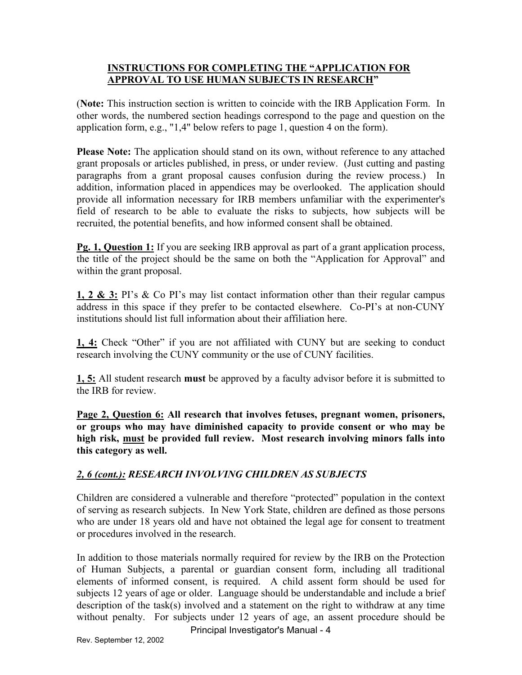### **INSTRUCTIONS FOR COMPLETING THE "APPLICATION FOR APPROVAL TO USE HUMAN SUBJECTS IN RESEARCH"**

(**Note:** This instruction section is written to coincide with the IRB Application Form. In other words, the numbered section headings correspond to the page and question on the application form, e.g., "1,4" below refers to page 1, question 4 on the form).

**Please Note:** The application should stand on its own, without reference to any attached grant proposals or articles published, in press, or under review. (Just cutting and pasting paragraphs from a grant proposal causes confusion during the review process.) In addition, information placed in appendices may be overlooked. The application should provide all information necessary for IRB members unfamiliar with the experimenter's field of research to be able to evaluate the risks to subjects, how subjects will be recruited, the potential benefits, and how informed consent shall be obtained.

**Pg. 1, Question 1:** If you are seeking IRB approval as part of a grant application process, the title of the project should be the same on both the "Application for Approval" and within the grant proposal.

**1, 2 & 3:** PI's & Co PI's may list contact information other than their regular campus address in this space if they prefer to be contacted elsewhere. Co-PI's at non-CUNY institutions should list full information about their affiliation here.

**1, 4:** Check "Other" if you are not affiliated with CUNY but are seeking to conduct research involving the CUNY community or the use of CUNY facilities.

**1, 5:** All student research **must** be approved by a faculty advisor before it is submitted to the IRB for review.

**Page 2, Question 6: All research that involves fetuses, pregnant women, prisoners, or groups who may have diminished capacity to provide consent or who may be high risk, must be provided full review. Most research involving minors falls into this category as well.** 

## *2, 6 (cont.): RESEARCH INVOLVING CHILDREN AS SUBJECTS*

Children are considered a vulnerable and therefore "protected" population in the context of serving as research subjects. In New York State, children are defined as those persons who are under 18 years old and have not obtained the legal age for consent to treatment or procedures involved in the research.

In addition to those materials normally required for review by the IRB on the Protection of Human Subjects, a parental or guardian consent form, including all traditional elements of informed consent, is required. A child assent form should be used for subjects 12 years of age or older. Language should be understandable and include a brief description of the task(s) involved and a statement on the right to withdraw at any time without penalty. For subjects under 12 years of age, an assent procedure should be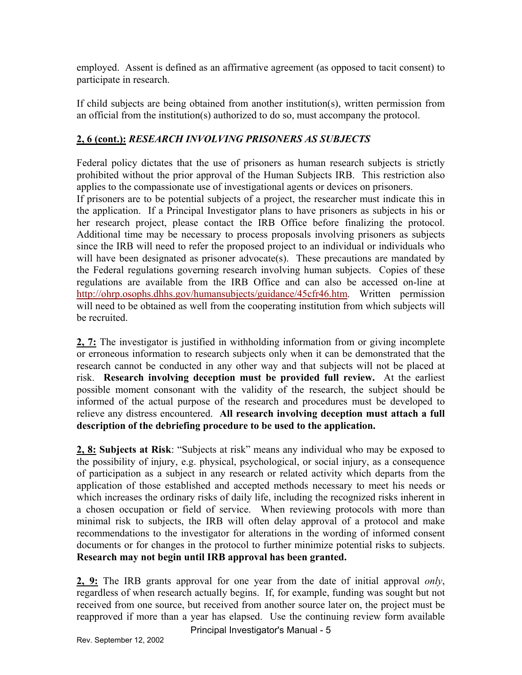employed. Assent is defined as an affirmative agreement (as opposed to tacit consent) to participate in research.

If child subjects are being obtained from another institution(s), written permission from an official from the institution(s) authorized to do so, must accompany the protocol.

## **2, 6 (cont.):** *RESEARCH INVOLVING PRISONERS AS SUBJECTS*

Federal policy dictates that the use of prisoners as human research subjects is strictly prohibited without the prior approval of the Human Subjects IRB. This restriction also applies to the compassionate use of investigational agents or devices on prisoners.

If prisoners are to be potential subjects of a project, the researcher must indicate this in the application. If a Principal Investigator plans to have prisoners as subjects in his or her research project, please contact the IRB Office before finalizing the protocol. Additional time may be necessary to process proposals involving prisoners as subjects since the IRB will need to refer the proposed project to an individual or individuals who will have been designated as prisoner advocate(s). These precautions are mandated by the Federal regulations governing research involving human subjects. Copies of these regulations are available from the IRB Office and can also be accessed on-line at [http://ohrp.osophs.dhhs.gov/humansubjects/guidance/45cfr46.htm.](http://ohrp.osophs.dhhs.gov/humansubjects/guidance/45cfr46.htm) Written permission will need to be obtained as well from the cooperating institution from which subjects will be recruited.

 risk. **Research involving deception must be provided full review.** At the earliest **2, 7:** The investigator is justified in withholding information from or giving incomplete or erroneous information to research subjects only when it can be demonstrated that the research cannot be conducted in any other way and that subjects will not be placed at possible moment consonant with the validity of the research, the subject should be informed of the actual purpose of the research and procedures must be developed to relieve any distress encountered. **All research involving deception must attach a full description of the debriefing procedure to be used to the application.** 

a chosen occupation or field of service. When reviewing protocols with more than **2, 8: Subjects at Risk**: "Subjects at risk" means any individual who may be exposed to the possibility of injury, e.g. physical, psychological, or social injury, as a consequence of participation as a subject in any research or related activity which departs from the application of those established and accepted methods necessary to meet his needs or which increases the ordinary risks of daily life, including the recognized risks inherent in minimal risk to subjects, the IRB will often delay approval of a protocol and make recommendations to the investigator for alterations in the wording of informed consent documents or for changes in the protocol to further minimize potential risks to subjects. **Research may not begin until IRB approval has been granted.** 

**2, 9:** The IRB grants approval for one year from the date of initial approval *only*, regardless of when research actually begins. If, for example, funding was sought but not received from one source, but received from another source later on, the project must be reapproved if more than a year has elapsed. Use the continuing review form available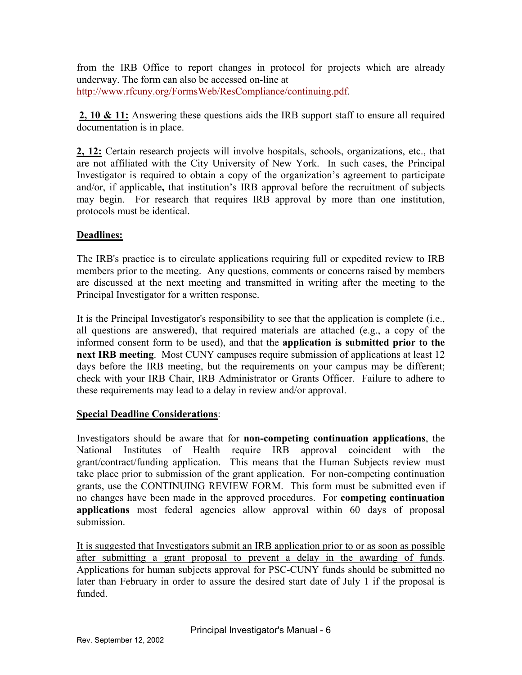from the IRB Office to report changes in protocol for projects which are already underway. The form can also be accessed on-line at [http://www.rfcuny.org/FormsWeb/ResCompliance/continuing.pdf.](http://www.rfcuny.org/FormsWeb/ResCompliance/continuing.pdf)

**2, 10 & 11:** Answering these questions aids the IRB support staff to ensure all required documentation is in place.

**2, 12:** Certain research projects will involve hospitals, schools, organizations, etc., that are not affiliated with the City University of New York. In such cases, the Principal Investigator is required to obtain a copy of the organization's agreement to participate and/or, if applicable**,** that institution's IRB approval before the recruitment of subjects may begin. For research that requires IRB approval by more than one institution, protocols must be identical.

## **Deadlines:**

The IRB's practice is to circulate applications requiring full or expedited review to IRB members prior to the meeting. Any questions, comments or concerns raised by members are discussed at the next meeting and transmitted in writing after the meeting to the Principal Investigator for a written response.

It is the Principal Investigator's responsibility to see that the application is complete (i.e., all questions are answered), that required materials are attached (e.g., a copy of the informed consent form to be used), and that the **application is submitted prior to the next IRB meeting**. Most CUNY campuses require submission of applications at least 12 days before the IRB meeting, but the requirements on your campus may be different; check with your IRB Chair, IRB Administrator or Grants Officer. Failure to adhere to these requirements may lead to a delay in review and/or approval.

#### **Special Deadline Considerations**:

Investigators should be aware that for **non-competing continuation applications**, the National Institutes of Health require IRB approval coincident with the grant/contract/funding application. This means that the Human Subjects review must take place prior to submission of the grant application. For non-competing continuation grants, use the CONTINUING REVIEW FORM. This form must be submitted even if no changes have been made in the approved procedures. For **competing continuation applications** most federal agencies allow approval within 60 days of proposal submission.

It is suggested that Investigators submit an IRB application prior to or as soon as possible after submitting a grant proposal to prevent a delay in the awarding of funds. Applications for human subjects approval for PSC-CUNY funds should be submitted no later than February in order to assure the desired start date of July 1 if the proposal is funded.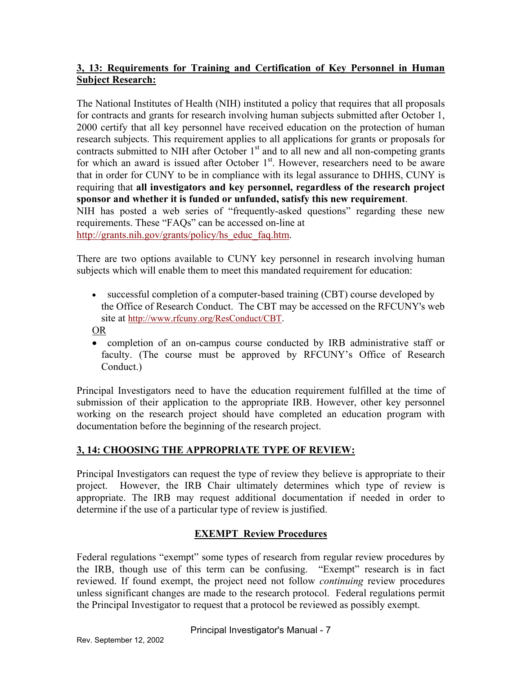## **3, 13: Requirements for Training and Certification of Key Personnel in Human Subject Research:**

The National Institutes of Health (NIH) instituted a policy that requires that all proposals for contracts and grants for research involving human subjects submitted after October 1, 2000 certify that all key personnel have received education on the protection of human research subjects. This requirement applies to all applications for grants or proposals for contracts submitted to NIH after October  $1<sup>st</sup>$  and to all new and all non-competing grants for which an award is issued after October  $1<sup>st</sup>$ . However, researchers need to be aware that in order for CUNY to be in compliance with its legal assurance to DHHS, CUNY is requiring that **all investigators and key personnel, regardless of the research project sponsor and whether it is funded or unfunded, satisfy this new requirement**. NIH has posted a web series of "frequently-asked questions" regarding these new requirements. These "FAQs" can be accessed on-line at

[http://grants.nih.gov/grants/policy/hs\\_educ\\_faq.htm](http://grants.nih.gov/grants/policy/hs_educ_faq.htm).

There are two options available to CUNY key personnel in research involving human subjects which will enable them to meet this mandated requirement for education:

• successful completion of a computer-based training (CBT) course developed by the Office of Research Conduct. The CBT may be accessed on the RFCUNY's web site at [http://www.rfcuny.org/ResConduct/CBT.](http://www.rfcuny.org/ResConduct/CBT)

OR

• completion of an on-campus course conducted by IRB administrative staff or faculty. (The course must be approved by RFCUNY's Office of Research Conduct.)

Principal Investigators need to have the education requirement fulfilled at the time of submission of their application to the appropriate IRB. However, other key personnel working on the research project should have completed an education program with documentation before the beginning of the research project.

## **3, 14: CHOOSING THE APPROPRIATE TYPE OF REVIEW:**

Principal Investigators can request the type of review they believe is appropriate to their project. However, the IRB Chair ultimately determines which type of review is appropriate. The IRB may request additional documentation if needed in order to determine if the use of a particular type of review is justified.

## **EXEMPT Review Procedures**

Federal regulations "exempt" some types of research from regular review procedures by the IRB, though use of this term can be confusing. "Exempt" research is in fact reviewed. If found exempt, the project need not follow *continuing* review procedures unless significant changes are made to the research protocol. Federal regulations permit the Principal Investigator to request that a protocol be reviewed as possibly exempt.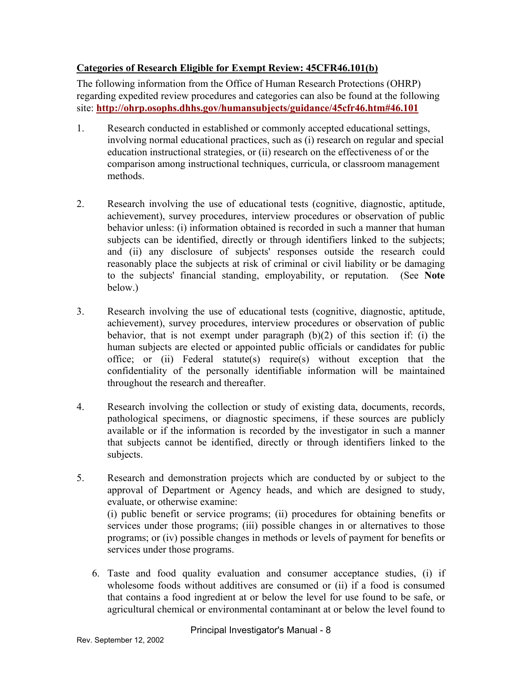## **Categories of Research Eligible for Exempt Review: 45CFR46.101(b)**

The following information from the Office of Human Research Protections (OHRP) regarding expedited review procedures and categories can also be found at the following site: **<http://ohrp.osophs.dhhs.gov/humansubjects/guidance/45cfr46.htm#46.101>** 

- 1. Research conducted in established or commonly accepted educational settings, involving normal educational practices, such as (i) research on regular and special education instructional strategies, or (ii) research on the effectiveness of or the comparison among instructional techniques, curricula, or classroom management methods.
- 2. Research involving the use of educational tests (cognitive, diagnostic, aptitude, achievement), survey procedures, interview procedures or observation of public behavior unless: (i) information obtained is recorded in such a manner that human subjects can be identified, directly or through identifiers linked to the subjects; and (ii) any disclosure of subjects' responses outside the research could reasonably place the subjects at risk of criminal or civil liability or be damaging to the subjects' financial standing, employability, or reputation. (See **Note**  below.)
- 3. Research involving the use of educational tests (cognitive, diagnostic, aptitude, achievement), survey procedures, interview procedures or observation of public behavior, that is not exempt under paragraph (b)(2) of this section if: (i) the human subjects are elected or appointed public officials or candidates for public office; or (ii) Federal statute(s) require(s) without exception that the confidentiality of the personally identifiable information will be maintained throughout the research and thereafter.
- 4. Research involving the collection or study of existing data, documents, records, pathological specimens, or diagnostic specimens, if these sources are publicly available or if the information is recorded by the investigator in such a manner that subjects cannot be identified, directly or through identifiers linked to the subjects.
- 5. Research and demonstration projects which are conducted by or subject to the approval of Department or Agency heads, and which are designed to study, evaluate, or otherwise examine: (i) public benefit or service programs; (ii) procedures for obtaining benefits or services under those programs; (iii) possible changes in or alternatives to those programs; or (iv) possible changes in methods or levels of payment for benefits or services under those programs.
	- 6. Taste and food quality evaluation and consumer acceptance studies, (i) if wholesome foods without additives are consumed or (ii) if a food is consumed that contains a food ingredient at or below the level for use found to be safe, or agricultural chemical or environmental contaminant at or below the level found to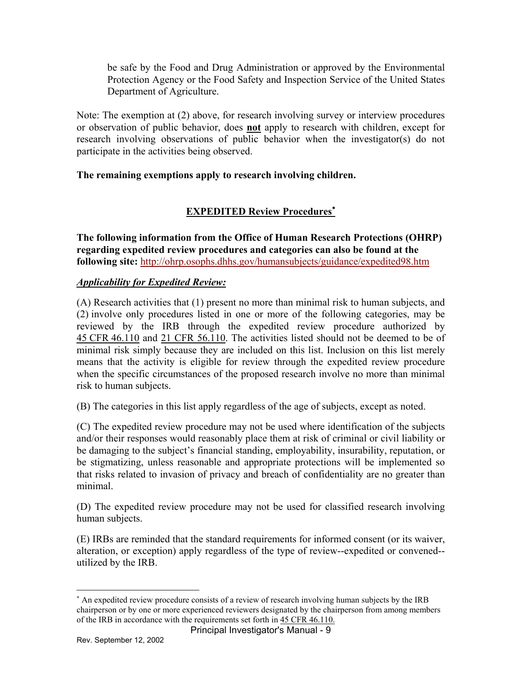be safe by the Food and Drug Administration or approved by the Environmental Protection Agency or the Food Safety and Inspection Service of the United States Department of Agriculture.

Note: The exemption at (2) above, for research involving survey or interview procedures or observation of public behavior, does **not** apply to research with children, except for research involving observations of public behavior when the investigator(s) do not participate in the activities being observed.

## **The remaining exemptions apply to research involving children.**

# **EXPEDITED Review Procedures**<sup>∗</sup>

**The following information from the Office of Human Research Protections (OHRP) regarding expedited review procedures and categories can also be found at the following site:** <http://ohrp.osophs.dhhs.gov/humansubjects/guidance/expedited98.htm>

## *Applicability for Expedited Review:*

(A) Research activities that (1) present no more than minimal risk to human subjects, and (2) involve only procedures listed in one or more of the following categories, may be reviewed by the IRB through the expedited review procedure authorized by 45 CFR 46.110 and 21 CFR 56.110. The activities listed should not be deemed to be of minimal risk simply because they are included on this list. Inclusion on this list merely means that the activity is eligible for review through the expedited review procedure when the specific circumstances of the proposed research involve no more than minimal risk to human subjects.

(B) The categories in this list apply regardless of the age of subjects, except as noted.

minimal (C) The expedited review procedure may not be used where identification of the subjects and/or their responses would reasonably place them at risk of criminal or civil liability or be damaging to the subject's financial standing, employability, insurability, reputation, or be stigmatizing, unless reasonable and appropriate protections will be implemented so that risks related to invasion of privacy and breach of confidentiality are no greater than

(D) The expedited review procedure may not be used for classified research involving human subjects.

(E) IRBs are reminded that the standard requirements for informed consent (or its waiver, alteration, or exception) apply regardless of the type of review--expedited or convened- utilized by the IRB.

 $\overline{a}$ 

of the IRB in accordance with the requirements set forth in 45 CFR 46.110. ∗ An expedited review procedure consists of a review of research involving human subjects by the IRB chairperson or by one or more experienced reviewers designated by the chairperson from among members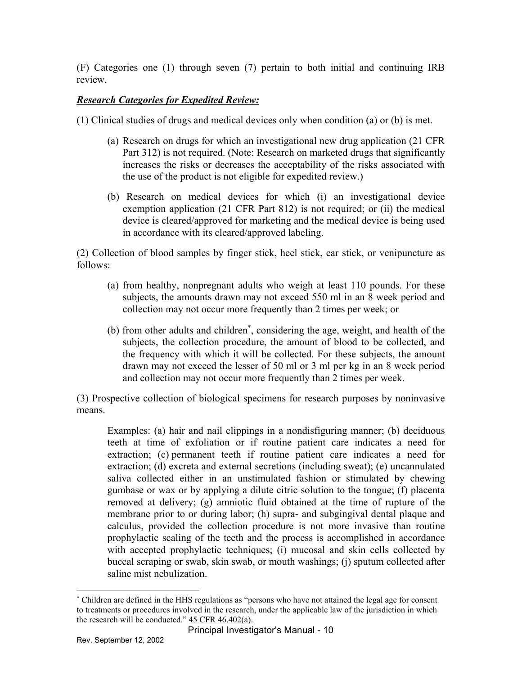(F) Categories one (1) through seven (7) pertain to both initial and continuing IRB review.

## *Research Categories for Expedited Review:*

(1) Clinical studies of drugs and medical devices only when condition (a) or (b) is met.

- (a) Research on drugs for which an investigational new drug application (21 CFR Part 312) is not required. (Note: Research on marketed drugs that significantly increases the risks or decreases the acceptability of the risks associated with the use of the product is not eligible for expedited review.)
- (b) Research on medical devices for which (i) an investigational device exemption application (21 CFR Part 812) is not required; or (ii) the medical device is cleared/approved for marketing and the medical device is being used in accordance with its cleared/approved labeling.

(2) Collection of blood samples by finger stick, heel stick, ear stick, or venipuncture as follows:

- (a) from healthy, nonpregnant adults who weigh at least 110 pounds. For these subjects, the amounts drawn may not exceed 550 ml in an 8 week period and collection may not occur more frequently than 2 times per week; or
- (b) from other adults and children<sup>∗</sup> , considering the age, weight, and health of the subjects, the collection procedure, the amount of blood to be collected, and the frequency with which it will be collected. For these subjects, the amount drawn may not exceed the lesser of 50 ml or 3 ml per kg in an 8 week period and collection may not occur more frequently than 2 times per week.

(3) Prospective collection of biological specimens for research purposes by noninvasive means.

Examples: (a) hair and nail clippings in a nondisfiguring manner; (b) deciduous teeth at time of exfoliation or if routine patient care indicates a need for extraction; (c) permanent teeth if routine patient care indicates a need for extraction; (d) excreta and external secretions (including sweat); (e) uncannulated saliva collected either in an unstimulated fashion or stimulated by chewing gumbase or wax or by applying a dilute citric solution to the tongue; (f) placenta removed at delivery; (g) amniotic fluid obtained at the time of rupture of the membrane prior to or during labor; (h) supra- and subgingival dental plaque and calculus, provided the collection procedure is not more invasive than routine prophylactic scaling of the teeth and the process is accomplished in accordance with accepted prophylactic techniques; (i) mucosal and skin cells collected by buccal scraping or swab, skin swab, or mouth washings; (j) sputum collected after saline mist nebulization.

 $\overline{a}$ 

the research will be conducted."  $45 \text{ CFR } 46.402(a)$ . ∗ Children are defined in the HHS regulations as "persons who have not attained the legal age for consent to treatments or procedures involved in the research, under the applicable law of the jurisdiction in which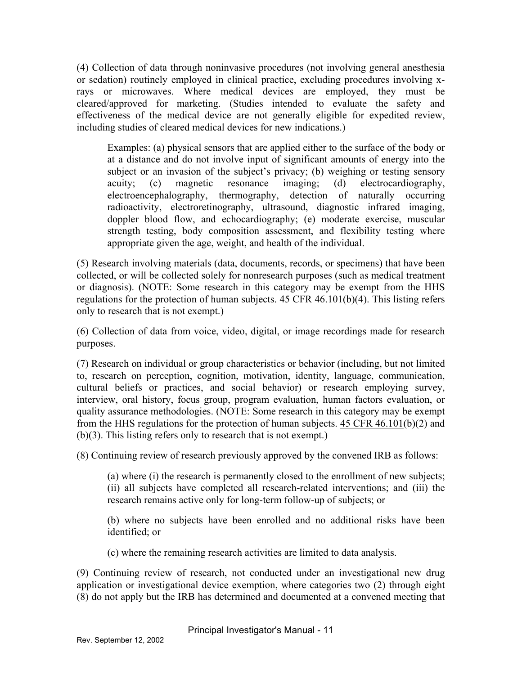(4) Collection of data through noninvasive procedures (not involving general anesthesia or sedation) routinely employed in clinical practice, excluding procedures involving xrays or microwaves. Where medical devices are employed, they must be cleared/approved for marketing. (Studies intended to evaluate the safety and effectiveness of the medical device are not generally eligible for expedited review, including studies of cleared medical devices for new indications.)

Examples: (a) physical sensors that are applied either to the surface of the body or at a distance and do not involve input of significant amounts of energy into the subject or an invasion of the subject's privacy; (b) weighing or testing sensory acuity; (c) magnetic resonance imaging; (d) electrocardiography, electroencephalography, thermography, detection of naturally occurring radioactivity, electroretinography, ultrasound, diagnostic infrared imaging, doppler blood flow, and echocardiography; (e) moderate exercise, muscular strength testing, body composition assessment, and flexibility testing where appropriate given the age, weight, and health of the individual.

(5) Research involving materials (data, documents, records, or specimens) that have been collected, or will be collected solely for nonresearch purposes (such as medical treatment or diagnosis). (NOTE: Some research in this category may be exempt from the HHS regulations for the protection of human subjects. 45 CFR 46.101(b)(4). This listing refers only to research that is not exempt.)

(6) Collection of data from voice, video, digital, or image recordings made for research purposes.

(7) Research on individual or group characteristics or behavior (including, but not limited to, research on perception, cognition, motivation, identity, language, communication, cultural beliefs or practices, and social behavior) or research employing survey, interview, oral history, focus group, program evaluation, human factors evaluation, or quality assurance methodologies. (NOTE: Some research in this category may be exempt from the HHS regulations for the protection of human subjects. 45 CFR 46.101(b)(2) and (b)(3). This listing refers only to research that is not exempt.)

(8) Continuing review of research previously approved by the convened IRB as follows:

(a) where (i) the research is permanently closed to the enrollment of new subjects; (ii) all subjects have completed all research-related interventions; and (iii) the research remains active only for long-term follow-up of subjects; or

(b) where no subjects have been enrolled and no additional risks have been identified; or

(c) where the remaining research activities are limited to data analysis.

(9) Continuing review of research, not conducted under an investigational new drug application or investigational device exemption, where categories two (2) through eight (8) do not apply but the IRB has determined and documented at a convened meeting that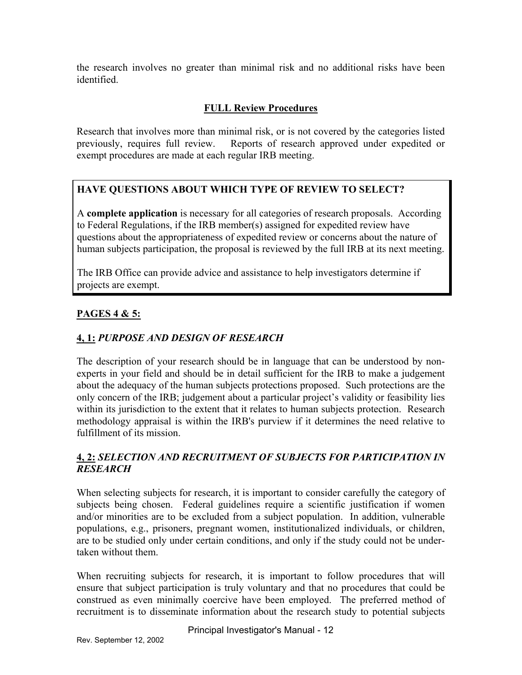the research involves no greater than minimal risk and no additional risks have been identified.

## **FULL Review Procedures**

Research that involves more than minimal risk, or is not covered by the categories listed previously, requires full review. Reports of research approved under expedited or exempt procedures are made at each regular IRB meeting.

# **HAVE QUESTIONS ABOUT WHICH TYPE OF REVIEW TO SELECT?**

A **complete application** is necessary for all categories of research proposals. According to Federal Regulations, if the IRB member(s) assigned for expedited review have questions about the appropriateness of expedited review or concerns about the nature of human subjects participation, the proposal is reviewed by the full IRB at its next meeting.

The IRB Office can provide advice and assistance to help investigators determine if projects are exempt.

## **PAGES 4 & 5:**

# **4, 1:** *PURPOSE AND DESIGN OF RESEARCH*

The description of your research should be in language that can be understood by nonexperts in your field and should be in detail sufficient for the IRB to make a judgement about the adequacy of the human subjects protections proposed. Such protections are the only concern of the IRB; judgement about a particular project's validity or feasibility lies within its jurisdiction to the extent that it relates to human subjects protection. Research methodology appraisal is within the IRB's purview if it determines the need relative to fulfillment of its mission.

## **4, 2:** *SELECTION AND RECRUITMENT OF SUBJECTS FOR PARTICIPATION IN RESEARCH*

When selecting subjects for research, it is important to consider carefully the category of subjects being chosen. Federal guidelines require a scientific justification if women and/or minorities are to be excluded from a subject population. In addition, vulnerable populations, e.g., prisoners, pregnant women, institutionalized individuals, or children, are to be studied only under certain conditions, and only if the study could not be undertaken without them.

When recruiting subjects for research, it is important to follow procedures that will ensure that subject participation is truly voluntary and that no procedures that could be construed as even minimally coercive have been employed. The preferred method of recruitment is to disseminate information about the research study to potential subjects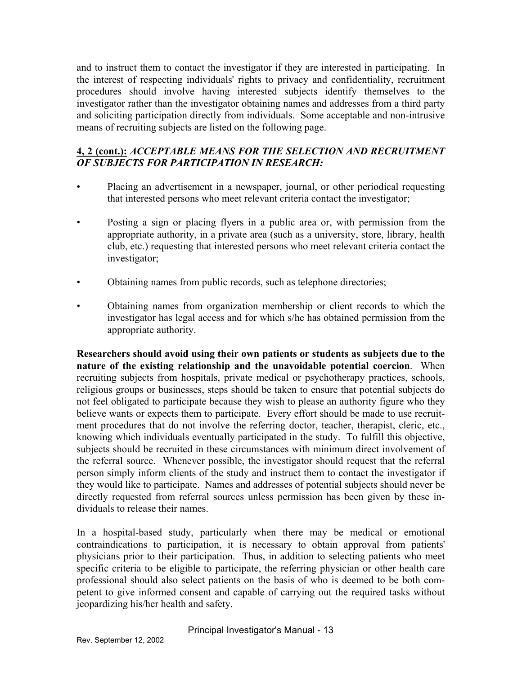and to instruct them to contact the investigator if they are interested in participating. In the interest of respecting individuals' rights to privacy and confidentiality, recruitment procedures should involve having interested subjects identify themselves to the investigator rather than the investigator obtaining names and addresses from a third party and soliciting participation directly from individuals. Some acceptable and non-intrusive means of recruiting subjects are listed on the following page.

## **4, 2 (cont.):** *ACCEPTABLE MEANS FOR THE SELECTION AND RECRUITMENT OF SUBJECTS FOR PARTICIPATION IN RESEARCH:*

- Placing an advertisement in a newspaper, journal, or other periodical requesting that interested persons who meet relevant criteria contact the investigator;
- Posting a sign or placing flyers in a public area or, with permission from the appropriate authority, in a private area (such as a university, store, library, health club, etc.) requesting that interested persons who meet relevant criteria contact the investigator;
- Obtaining names from public records, such as telephone directories;
- Obtaining names from organization membership or client records to which the investigator has legal access and for which s/he has obtained permission from the appropriate authority.

**Researchers should avoid using their own patients or students as subjects due to the nature of the existing relationship and the unavoidable potential coercion**. When recruiting subjects from hospitals, private medical or psychotherapy practices, schools, religious groups or businesses, steps should be taken to ensure that potential subjects do not feel obligated to participate because they wish to please an authority figure who they believe wants or expects them to participate. Every effort should be made to use recruitment procedures that do not involve the referring doctor, teacher, therapist, cleric, etc., knowing which individuals eventually participated in the study. To fulfill this objective, subjects should be recruited in these circumstances with minimum direct involvement of the referral source. Whenever possible, the investigator should request that the referral person simply inform clients of the study and instruct them to contact the investigator if they would like to participate. Names and addresses of potential subjects should never be directly requested from referral sources unless permission has been given by these individuals to release their names.

In a hospital-based study, particularly when there may be medical or emotional contraindications to participation, it is necessary to obtain approval from patients' physicians prior to their participation. Thus, in addition to selecting patients who meet specific criteria to be eligible to participate, the referring physician or other health care professional should also select patients on the basis of who is deemed to be both competent to give informed consent and capable of carrying out the required tasks without jeopardizing his/her health and safety.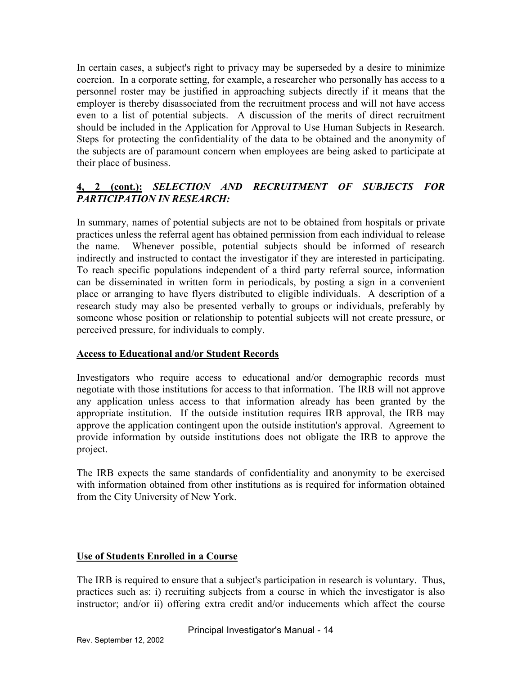In certain cases, a subject's right to privacy may be superseded by a desire to minimize coercion. In a corporate setting, for example, a researcher who personally has access to a personnel roster may be justified in approaching subjects directly if it means that the employer is thereby disassociated from the recruitment process and will not have access even to a list of potential subjects. A discussion of the merits of direct recruitment should be included in the Application for Approval to Use Human Subjects in Research. Steps for protecting the confidentiality of the data to be obtained and the anonymity of the subjects are of paramount concern when employees are being asked to participate at their place of business.

## **4, 2 (cont.):** *SELECTION AND RECRUITMENT OF SUBJECTS FOR PARTICIPATION IN RESEARCH:*

In summary, names of potential subjects are not to be obtained from hospitals or private practices unless the referral agent has obtained permission from each individual to release the name. Whenever possible, potential subjects should be informed of research indirectly and instructed to contact the investigator if they are interested in participating. To reach specific populations independent of a third party referral source, information can be disseminated in written form in periodicals, by posting a sign in a convenient place or arranging to have flyers distributed to eligible individuals. A description of a research study may also be presented verbally to groups or individuals, preferably by someone whose position or relationship to potential subjects will not create pressure, or perceived pressure, for individuals to comply.

#### **Access to Educational and/or Student Records**

Investigators who require access to educational and/or demographic records must negotiate with those institutions for access to that information. The IRB will not approve any application unless access to that information already has been granted by the appropriate institution. If the outside institution requires IRB approval, the IRB may approve the application contingent upon the outside institution's approval. Agreement to provide information by outside institutions does not obligate the IRB to approve the project.

The IRB expects the same standards of confidentiality and anonymity to be exercised with information obtained from other institutions as is required for information obtained from the City University of New York.

#### **Use of Students Enrolled in a Course**

The IRB is required to ensure that a subject's participation in research is voluntary. Thus, practices such as: i) recruiting subjects from a course in which the investigator is also instructor; and/or ii) offering extra credit and/or inducements which affect the course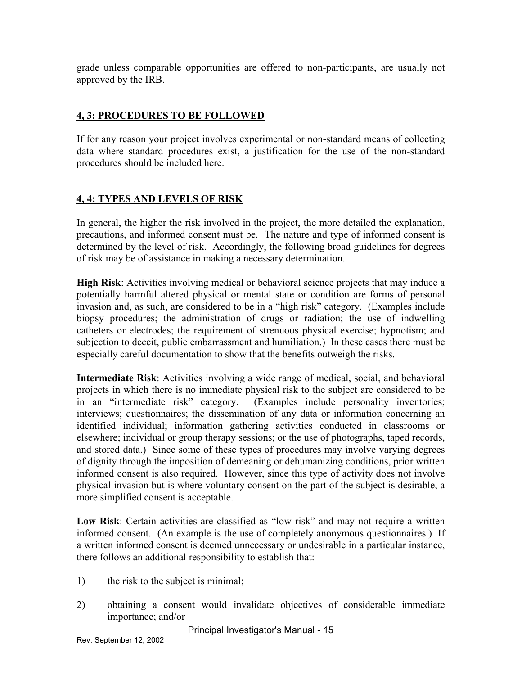grade unless comparable opportunities are offered to non-participants, are usually not approved by the IRB.

## **4, 3: PROCEDURES TO BE FOLLOWED**

If for any reason your project involves experimental or non-standard means of collecting data where standard procedures exist, a justification for the use of the non-standard procedures should be included here.

## **4, 4: TYPES AND LEVELS OF RISK**

In general, the higher the risk involved in the project, the more detailed the explanation, precautions, and informed consent must be. The nature and type of informed consent is determined by the level of risk. Accordingly, the following broad guidelines for degrees of risk may be of assistance in making a necessary determination.

**High Risk**: Activities involving medical or behavioral science projects that may induce a potentially harmful altered physical or mental state or condition are forms of personal invasion and, as such, are considered to be in a "high risk" category. (Examples include biopsy procedures; the administration of drugs or radiation; the use of indwelling catheters or electrodes; the requirement of strenuous physical exercise; hypnotism; and subjection to deceit, public embarrassment and humiliation.) In these cases there must be especially careful documentation to show that the benefits outweigh the risks.

**Intermediate Risk**: Activities involving a wide range of medical, social, and behavioral projects in which there is no immediate physical risk to the subject are considered to be in an "intermediate risk" category. (Examples include personality inventories; interviews; questionnaires; the dissemination of any data or information concerning an identified individual; information gathering activities conducted in classrooms or elsewhere; individual or group therapy sessions; or the use of photographs, taped records, and stored data.) Since some of these types of procedures may involve varying degrees of dignity through the imposition of demeaning or dehumanizing conditions, prior written informed consent is also required. However, since this type of activity does not involve physical invasion but is where voluntary consent on the part of the subject is desirable, a more simplified consent is acceptable.

**Low Risk**: Certain activities are classified as "low risk" and may not require a written informed consent. (An example is the use of completely anonymous questionnaires.) If a written informed consent is deemed unnecessary or undesirable in a particular instance, there follows an additional responsibility to establish that:

- 1) the risk to the subject is minimal;
- 2) obtaining a consent would invalidate objectives of considerable immediate importance; and/or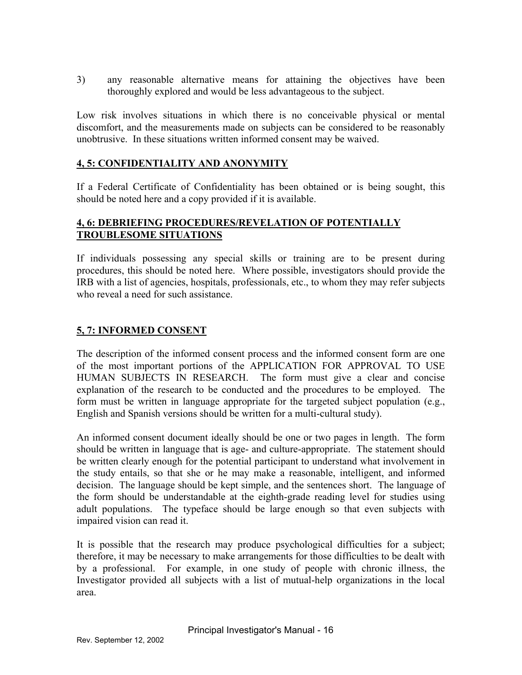3) any reasonable alternative means for attaining the objectives have been thoroughly explored and would be less advantageous to the subject.

Low risk involves situations in which there is no conceivable physical or mental discomfort, and the measurements made on subjects can be considered to be reasonably unobtrusive. In these situations written informed consent may be waived.

#### **4, 5: CONFIDENTIALITY AND ANONYMITY**

If a Federal Certificate of Confidentiality has been obtained or is being sought, this should be noted here and a copy provided if it is available.

#### **4, 6: DEBRIEFING PROCEDURES/REVELATION OF POTENTIALLY TROUBLESOME SITUATIONS**

If individuals possessing any special skills or training are to be present during procedures, this should be noted here. Where possible, investigators should provide the IRB with a list of agencies, hospitals, professionals, etc., to whom they may refer subjects who reveal a need for such assistance.

## **5, 7: INFORMED CONSENT**

The description of the informed consent process and the informed consent form are one of the most important portions of the APPLICATION FOR APPROVAL TO USE HUMAN SUBJECTS IN RESEARCH. The form must give a clear and concise explanation of the research to be conducted and the procedures to be employed. The form must be written in language appropriate for the targeted subject population (e.g., English and Spanish versions should be written for a multi-cultural study).

An informed consent document ideally should be one or two pages in length. The form should be written in language that is age- and culture-appropriate. The statement should be written clearly enough for the potential participant to understand what involvement in the study entails, so that she or he may make a reasonable, intelligent, and informed decision. The language should be kept simple, and the sentences short. The language of the form should be understandable at the eighth-grade reading level for studies using adult populations. The typeface should be large enough so that even subjects with impaired vision can read it.

It is possible that the research may produce psychological difficulties for a subject; therefore, it may be necessary to make arrangements for those difficulties to be dealt with by a professional. For example, in one study of people with chronic illness, the Investigator provided all subjects with a list of mutual-help organizations in the local area.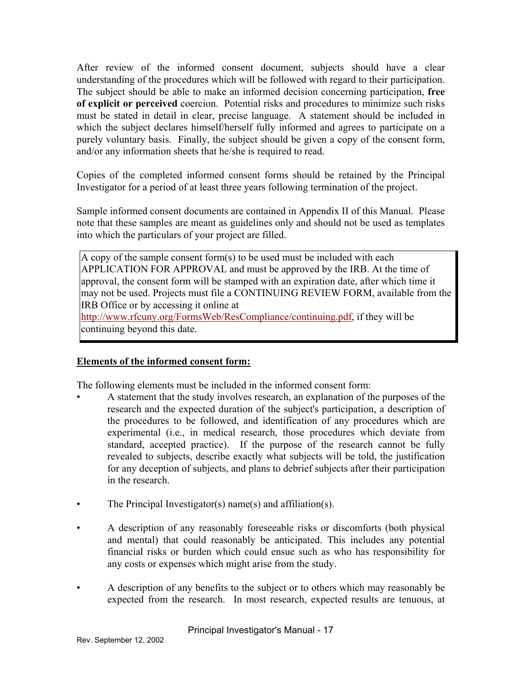After review of the informed consent document, subjects should have a clear understanding of the procedures which will be followed with regard to their participation. The subject should be able to make an informed decision concerning participation, **free of explicit or perceived** coercion. Potential risks and procedures to minimize such risks must be stated in detail in clear, precise language. A statement should be included in which the subject declares himself/herself fully informed and agrees to participate on a purely voluntary basis. Finally, the subject should be given a copy of the consent form, and/or any information sheets that he/she is required to read.

Copies of the completed informed consent forms should be retained by the Principal Investigator for a period of at least three years following termination of the project.

Sample informed consent documents are contained in Appendix II of this Manual. Please note that these samples are meant as guidelines only and should not be used as templates into which the particulars of your project are filled.

A copy of the sample consent form(s) to be used must be included with each APPLICATION FOR APPROVAL and must be approved by the IRB. At the time of approval, the consent form will be stamped with an expiration date, after which time it may not be used. Projects must file a CONTINUING REVIEW FORM, available from the IRB Office or by accessing it online at

[http://www.rfcuny.org/FormsWeb/ResCompliance/continuing.pdf,](http://www.rfcuny.org/FormsWeb/ResCompliance/continuing.pdf) if they will be continuing beyond this date.

#### **Elements of the informed consent form:**

The following elements must be included in the informed consent form:

- A statement that the study involves research, an explanation of the purposes of the research and the expected duration of the subject's participation, a description of the procedures to be followed, and identification of any procedures which are experimental (i.e., in medical research, those procedures which deviate from standard, accepted practice). If the purpose of the research cannot be fully revealed to subjects, describe exactly what subjects will be told, the justification for any deception of subjects, and plans to debrief subjects after their participation in the research.
- The Principal Investigator(s) name(s) and affiliation(s).
- A description of any reasonably foreseeable risks or discomforts (both physical and mental) that could reasonably be anticipated. This includes any potential financial risks or burden which could ensue such as who has responsibility for any costs or expenses which might arise from the study.
- A description of any benefits to the subject or to others which may reasonably be expected from the research. In most research, expected results are tenuous, at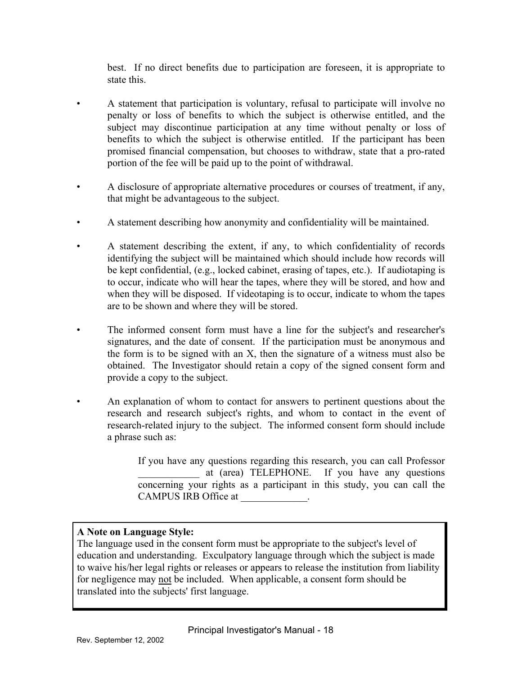best. If no direct benefits due to participation are foreseen, it is appropriate to state this.

- A statement that participation is voluntary, refusal to participate will involve no penalty or loss of benefits to which the subject is otherwise entitled, and the subject may discontinue participation at any time without penalty or loss of benefits to which the subject is otherwise entitled. If the participant has been promised financial compensation, but chooses to withdraw, state that a pro-rated portion of the fee will be paid up to the point of withdrawal.
- A disclosure of appropriate alternative procedures or courses of treatment, if any, that might be advantageous to the subject.
- A statement describing how anonymity and confidentiality will be maintained.
- A statement describing the extent, if any, to which confidentiality of records identifying the subject will be maintained which should include how records will be kept confidential, (e.g., locked cabinet, erasing of tapes, etc.). If audiotaping is to occur, indicate who will hear the tapes, where they will be stored, and how and when they will be disposed. If videotaping is to occur, indicate to whom the tapes are to be shown and where they will be stored.
- The informed consent form must have a line for the subject's and researcher's signatures, and the date of consent. If the participation must be anonymous and the form is to be signed with an X, then the signature of a witness must also be obtained. The Investigator should retain a copy of the signed consent form and provide a copy to the subject.
- An explanation of whom to contact for answers to pertinent questions about the research and research subject's rights, and whom to contact in the event of research-related injury to the subject. The informed consent form should include a phrase such as:

If you have any questions regarding this research, you can call Professor at (area) TELEPHONE. If you have any questions concerning your rights as a participant in this study, you can call the CAMPUS IRB Office at  $\qquad \qquad$ 

## **A Note on Language Style:**

The language used in the consent form must be appropriate to the subject's level of education and understanding. Exculpatory language through which the subject is made to waive his/her legal rights or releases or appears to release the institution from liability for negligence may not be included. When applicable, a consent form should be translated into the subjects' first language.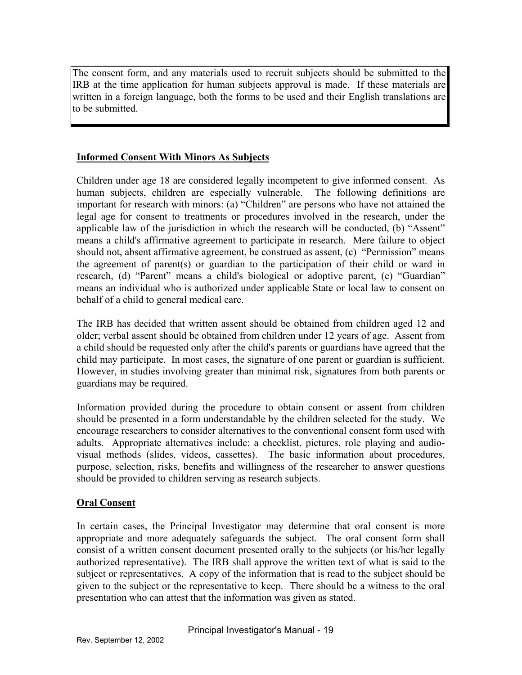The consent form, and any materials used to recruit subjects should be submitted to the IRB at the time application for human subjects approval is made. If these materials are written in a foreign language, both the forms to be used and their English translations are to be submitted.

### **Informed Consent With Minors As Subjects**

Children under age 18 are considered legally incompetent to give informed consent. As human subjects, children are especially vulnerable. The following definitions are important for research with minors: (a) "Children" are persons who have not attained the legal age for consent to treatments or procedures involved in the research, under the applicable law of the jurisdiction in which the research will be conducted, (b) "Assent" means a child's affirmative agreement to participate in research. Mere failure to object should not, absent affirmative agreement, be construed as assent, (c) "Permission" means the agreement of parent(s) or guardian to the participation of their child or ward in research, (d) "Parent" means a child's biological or adoptive parent, (e) "Guardian" means an individual who is authorized under applicable State or local law to consent on behalf of a child to general medical care.

The IRB has decided that written assent should be obtained from children aged 12 and older; verbal assent should be obtained from children under 12 years of age. Assent from a child should be requested only after the child's parents or guardians have agreed that the child may participate. In most cases, the signature of one parent or guardian is sufficient. However, in studies involving greater than minimal risk, signatures from both parents or guardians may be required.

Information provided during the procedure to obtain consent or assent from children should be presented in a form understandable by the children selected for the study. We encourage researchers to consider alternatives to the conventional consent form used with adults. Appropriate alternatives include: a checklist, pictures, role playing and audiovisual methods (slides, videos, cassettes). The basic information about procedures, purpose, selection, risks, benefits and willingness of the researcher to answer questions should be provided to children serving as research subjects.

## **Oral Consent**

In certain cases, the Principal Investigator may determine that oral consent is more appropriate and more adequately safeguards the subject. The oral consent form shall consist of a written consent document presented orally to the subjects (or his/her legally authorized representative). The IRB shall approve the written text of what is said to the subject or representatives. A copy of the information that is read to the subject should be given to the subject or the representative to keep. There should be a witness to the oral presentation who can attest that the information was given as stated.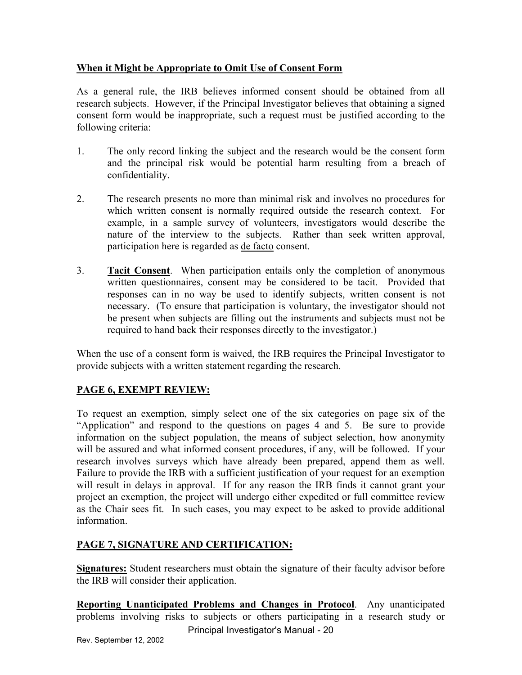## **When it Might be Appropriate to Omit Use of Consent Form**

As a general rule, the IRB believes informed consent should be obtained from all research subjects. However, if the Principal Investigator believes that obtaining a signed consent form would be inappropriate, such a request must be justified according to the following criteria:

- 1. The only record linking the subject and the research would be the consent form and the principal risk would be potential harm resulting from a breach of confidentiality.
- 2. The research presents no more than minimal risk and involves no procedures for which written consent is normally required outside the research context. For example, in a sample survey of volunteers, investigators would describe the nature of the interview to the subjects. Rather than seek written approval, participation here is regarded as de facto consent.
- 3. **Tacit Consent**. When participation entails only the completion of anonymous written questionnaires, consent may be considered to be tacit. Provided that responses can in no way be used to identify subjects, written consent is not necessary. (To ensure that participation is voluntary, the investigator should not be present when subjects are filling out the instruments and subjects must not be required to hand back their responses directly to the investigator.)

When the use of a consent form is waived, the IRB requires the Principal Investigator to provide subjects with a written statement regarding the research.

## **PAGE 6, EXEMPT REVIEW:**

To request an exemption, simply select one of the six categories on page six of the "Application" and respond to the questions on pages 4 and 5. Be sure to provide information on the subject population, the means of subject selection, how anonymity will be assured and what informed consent procedures, if any, will be followed. If your research involves surveys which have already been prepared, append them as well. Failure to provide the IRB with a sufficient justification of your request for an exemption will result in delays in approval. If for any reason the IRB finds it cannot grant your project an exemption, the project will undergo either expedited or full committee review as the Chair sees fit. In such cases, you may expect to be asked to provide additional information.

## **PAGE 7, SIGNATURE AND CERTIFICATION:**

**Signatures:** Student researchers must obtain the signature of their faculty advisor before the IRB will consider their application.

**Reporting Unanticipated Problems and Changes in Protocol**. Any unanticipated problems involving risks to subjects or others participating in a research study or Principal Investigator's Manual - 20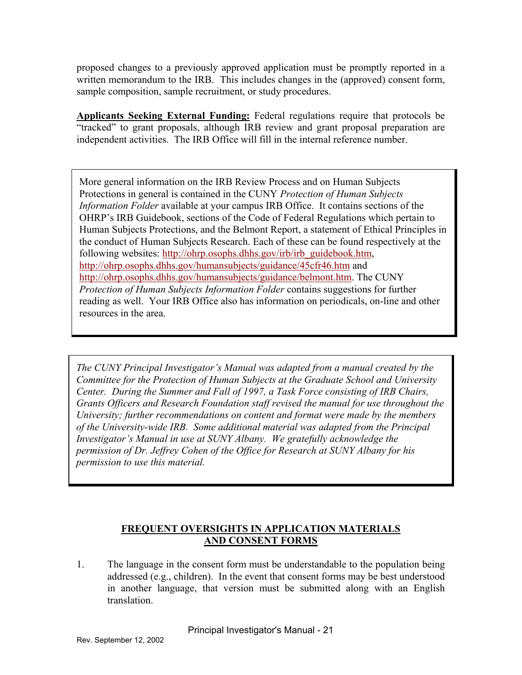proposed changes to a previously approved application must be promptly reported in a written memorandum to the IRB. This includes changes in the (approved) consent form, sample composition, sample recruitment, or study procedures.

**Applicants Seeking External Funding:** Federal regulations require that protocols be "tracked" to grant proposals, although IRB review and grant proposal preparation are independent activities. The IRB Office will fill in the internal reference number.

More general information on the IRB Review Process and on Human Subjects Protections in general is contained in the CUNY *Protection of Human Subjects Information Folder* available at your campus IRB Office. It contains sections of the OHRP's IRB Guidebook, sections of the Code of Federal Regulations which pertain to Human Subjects Protections, and the Belmont Report, a statement of Ethical Principles in the conduct of Human Subjects Research. Each of these can be found respectively at the following websites: [http://ohrp.osophs.dhhs.gov/irb/irb\\_guidebook.htm](http://ohrp.osophs.dhhs.gov/irb/irb_guidebook.htm), <http://ohrp.osophs.dhhs.gov/humansubjects/guidance/45cfr46.htm>and [http://ohrp.osophs.dhhs.gov/humansubjects/guidance/belmont.htm.](http://ohrp.osophs.dhhs.gov/humansubjects/guidance/belmont.htm) The CUNY *Protection of Human Subjects Information Folder* contains suggestions for further reading as well. Your IRB Office also has information on periodicals, on-line and other resources in the area.

*The CUNY Principal Investigator's Manual was adapted from a manual created by the Committee for the Protection of Human Subjects at the Graduate School and University Center. During the Summer and Fall of 1997, a Task Force consisting of IRB Chairs, Grants Officers and Research Foundation staff revised the manual for use throughout the University; further recommendations on content and format were made by the members of the University-wide IRB. Some additional material was adapted from the Principal Investigator's Manual in use at SUNY Albany. We gratefully acknowledge the permission of Dr. Jeffrey Cohen of the Office for Research at SUNY Albany for his permission to use this material.* 

## **FREQUENT OVERSIGHTS IN APPLICATION MATERIALS AND CONSENT FORMS**

1. The language in the consent form must be understandable to the population being addressed (e.g., children). In the event that consent forms may be best understood in another language, that version must be submitted along with an English translation.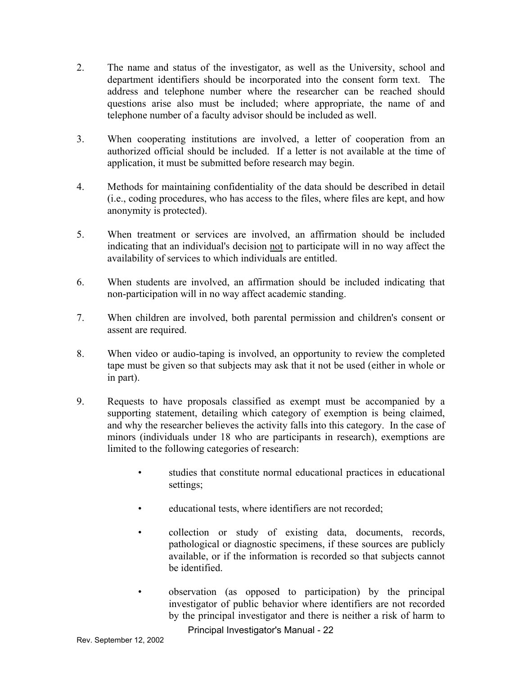- 2. The name and status of the investigator, as well as the University, school and department identifiers should be incorporated into the consent form text. The address and telephone number where the researcher can be reached should questions arise also must be included; where appropriate, the name of and telephone number of a faculty advisor should be included as well.
- 3. When cooperating institutions are involved, a letter of cooperation from an authorized official should be included. If a letter is not available at the time of application, it must be submitted before research may begin.
- 4. Methods for maintaining confidentiality of the data should be described in detail (i.e., coding procedures, who has access to the files, where files are kept, and how anonymity is protected).
- 5. When treatment or services are involved, an affirmation should be included indicating that an individual's decision not to participate will in no way affect the availability of services to which individuals are entitled.
- 6. When students are involved, an affirmation should be included indicating that non-participation will in no way affect academic standing.
- 7. When children are involved, both parental permission and children's consent or assent are required.
- 8. When video or audio-taping is involved, an opportunity to review the completed tape must be given so that subjects may ask that it not be used (either in whole or in part).
- 9. Requests to have proposals classified as exempt must be accompanied by a supporting statement, detailing which category of exemption is being claimed, and why the researcher believes the activity falls into this category. In the case of minors (individuals under 18 who are participants in research), exemptions are limited to the following categories of research:
	- studies that constitute normal educational practices in educational settings;
	- educational tests, where identifiers are not recorded;
	- collection or study of existing data, documents, records, pathological or diagnostic specimens, if these sources are publicly available, or if the information is recorded so that subjects cannot be identified.
	- observation (as opposed to participation) by the principal investigator of public behavior where identifiers are not recorded by the principal investigator and there is neither a risk of harm to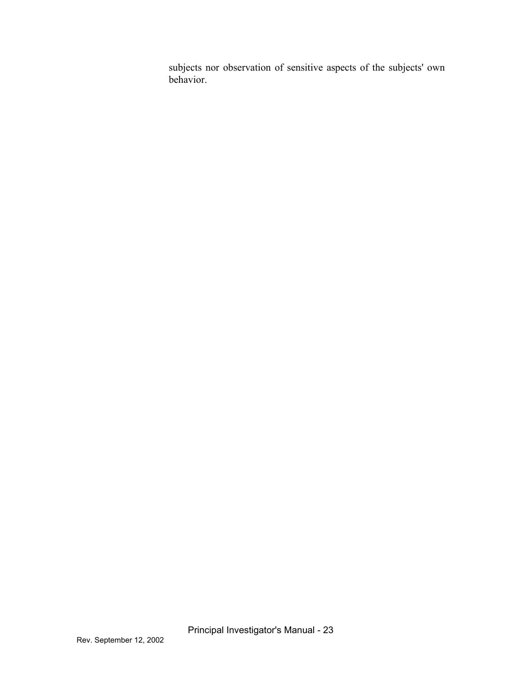subjects nor observation of sensitive aspects of the subjects' own behavior.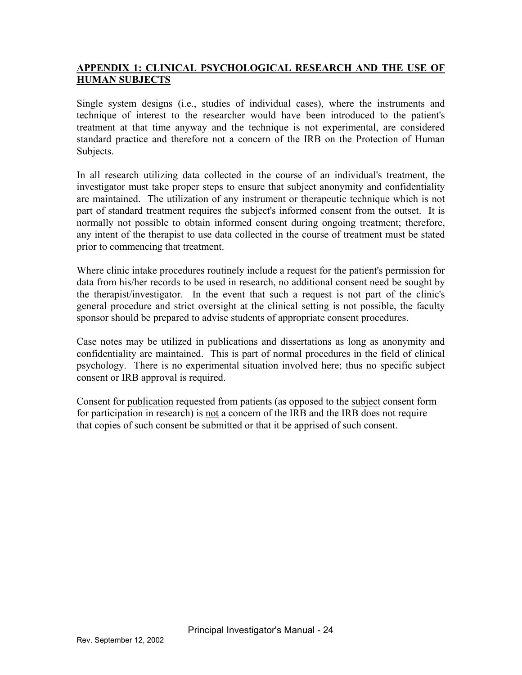## **APPENDIX 1: CLINICAL PSYCHOLOGICAL RESEARCH AND THE USE OF HUMAN SUBJECTS**

Single system designs (i.e., studies of individual cases), where the instruments and technique of interest to the researcher would have been introduced to the patient's treatment at that time anyway and the technique is not experimental, are considered standard practice and therefore not a concern of the IRB on the Protection of Human Subjects.

In all research utilizing data collected in the course of an individual's treatment, the investigator must take proper steps to ensure that subject anonymity and confidentiality are maintained. The utilization of any instrument or therapeutic technique which is not part of standard treatment requires the subject's informed consent from the outset. It is normally not possible to obtain informed consent during ongoing treatment; therefore, any intent of the therapist to use data collected in the course of treatment must be stated prior to commencing that treatment.

Where clinic intake procedures routinely include a request for the patient's permission for data from his/her records to be used in research, no additional consent need be sought by the therapist/investigator. In the event that such a request is not part of the clinic's general procedure and strict oversight at the clinical setting is not possible, the faculty sponsor should be prepared to advise students of appropriate consent procedures.

Case notes may be utilized in publications and dissertations as long as anonymity and confidentiality are maintained. This is part of normal procedures in the field of clinical psychology. There is no experimental situation involved here; thus no specific subject consent or IRB approval is required.

Consent for publication requested from patients (as opposed to the subject consent form for participation in research) is not a concern of the IRB and the IRB does not require that copies of such consent be submitted or that it be apprised of such consent.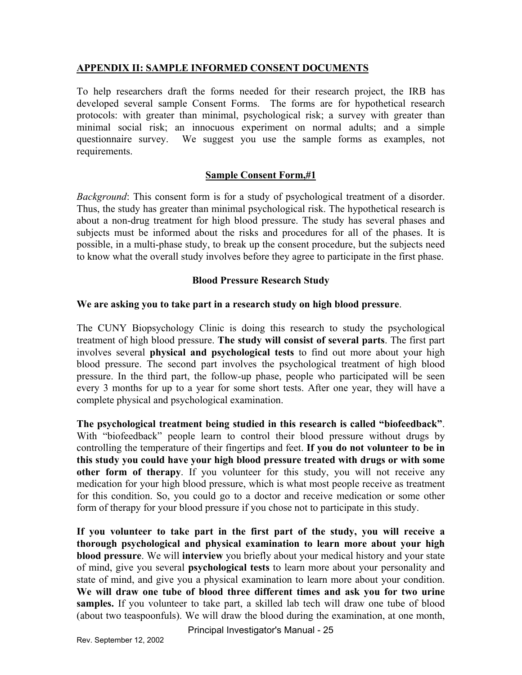#### **APPENDIX II: SAMPLE INFORMED CONSENT DOCUMENTS**

To help researchers draft the forms needed for their research project, the IRB has developed several sample Consent Forms. The forms are for hypothetical research protocols: with greater than minimal, psychological risk; a survey with greater than minimal social risk; an innocuous experiment on normal adults; and a simple questionnaire survey. We suggest you use the sample forms as examples, not requirements.

#### **Sample Consent Form,#1**

*Background*: This consent form is for a study of psychological treatment of a disorder. Thus, the study has greater than minimal psychological risk. The hypothetical research is about a non-drug treatment for high blood pressure. The study has several phases and subjects must be informed about the risks and procedures for all of the phases. It is possible, in a multi-phase study, to break up the consent procedure, but the subjects need to know what the overall study involves before they agree to participate in the first phase.

#### **Blood Pressure Research Study**

#### **We are asking you to take part in a research study on high blood pressure**.

The CUNY Biopsychology Clinic is doing this research to study the psychological treatment of high blood pressure. **The study will consist of several parts**. The first part involves several **physical and psychological tests** to find out more about your high blood pressure. The second part involves the psychological treatment of high blood pressure. In the third part, the follow-up phase, people who participated will be seen every 3 months for up to a year for some short tests. After one year, they will have a complete physical and psychological examination.

**The psychological treatment being studied in this research is called "biofeedback"**. With "biofeedback" people learn to control their blood pressure without drugs by controlling the temperature of their fingertips and feet. **If you do not volunteer to be in this study you could have your high blood pressure treated with drugs or with some other form of therapy**. If you volunteer for this study, you will not receive any medication for your high blood pressure, which is what most people receive as treatment for this condition. So, you could go to a doctor and receive medication or some other form of therapy for your blood pressure if you chose not to participate in this study.

**If you volunteer to take part in the first part of the study, you will receive a thorough psychological and physical examination to learn more about your high blood pressure**. We will **interview** you briefly about your medical history and your state of mind, give you several **psychological tests** to learn more about your personality and state of mind, and give you a physical examination to learn more about your condition. **We will draw one tube of blood three different times and ask you for two urine**  samples. If you volunteer to take part, a skilled lab tech will draw one tube of blood (about two teaspoonfuls). We will draw the blood during the examination, at one month,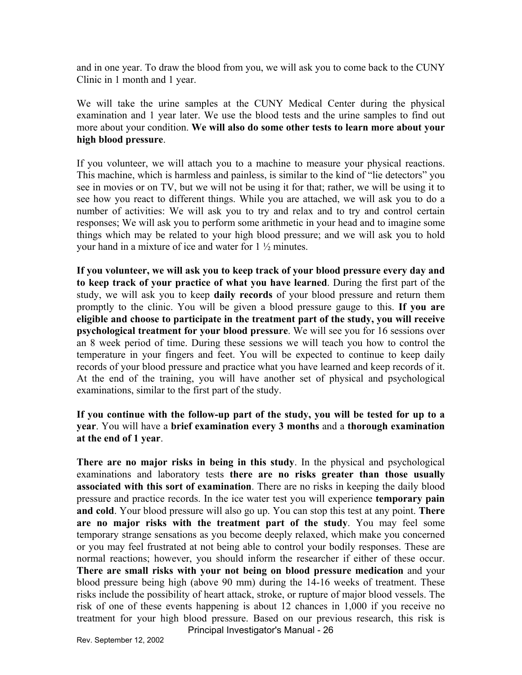and in one year. To draw the blood from you, we will ask you to come back to the CUNY Clinic in 1 month and 1 year.

We will take the urine samples at the CUNY Medical Center during the physical examination and 1 year later. We use the blood tests and the urine samples to find out more about your condition. **We will also do some other tests to learn more about your high blood pressure**.

If you volunteer, we will attach you to a machine to measure your physical reactions. This machine, which is harmless and painless, is similar to the kind of "lie detectors" you see in movies or on TV, but we will not be using it for that; rather, we will be using it to see how you react to different things. While you are attached, we will ask you to do a number of activities: We will ask you to try and relax and to try and control certain responses; We will ask you to perform some arithmetic in your head and to imagine some things which may be related to your high blood pressure; and we will ask you to hold your hand in a mixture of ice and water for 1 ½ minutes.

**If you volunteer, we will ask you to keep track of your blood pressure every day and to keep track of your practice of what you have learned**. During the first part of the study, we will ask you to keep **daily records** of your blood pressure and return them promptly to the clinic. You will be given a blood pressure gauge to this. **If you are eligible and choose to participate in the treatment part of the study, you will receive psychological treatment for your blood pressure**. We will see you for 16 sessions over an 8 week period of time. During these sessions we will teach you how to control the temperature in your fingers and feet. You will be expected to continue to keep daily records of your blood pressure and practice what you have learned and keep records of it. At the end of the training, you will have another set of physical and psychological examinations, similar to the first part of the study.

#### **If you continue with the follow-up part of the study, you will be tested for up to a year**. You will have a **brief examination every 3 months** and a **thorough examination at the end of 1 year**.

**There are no major risks in being in this study**. In the physical and psychological examinations and laboratory tests **there are no risks greater than those usually associated with this sort of examination**. There are no risks in keeping the daily blood pressure and practice records. In the ice water test you will experience **temporary pain and cold**. Your blood pressure will also go up. You can stop this test at any point. **There are no major risks with the treatment part of the study**. You may feel some temporary strange sensations as you become deeply relaxed, which make you concerned or you may feel frustrated at not being able to control your bodily responses. These are normal reactions; however, you should inform the researcher if either of these occur. **There are small risks with your not being on blood pressure medication** and your blood pressure being high (above 90 mm) during the 14-16 weeks of treatment. These risks include the possibility of heart attack, stroke, or rupture of major blood vessels. The risk of one of these events happening is about 12 chances in 1,000 if you receive no treatment for your high blood pressure. Based on our previous research, this risk is Principal Investigator's Manual - 26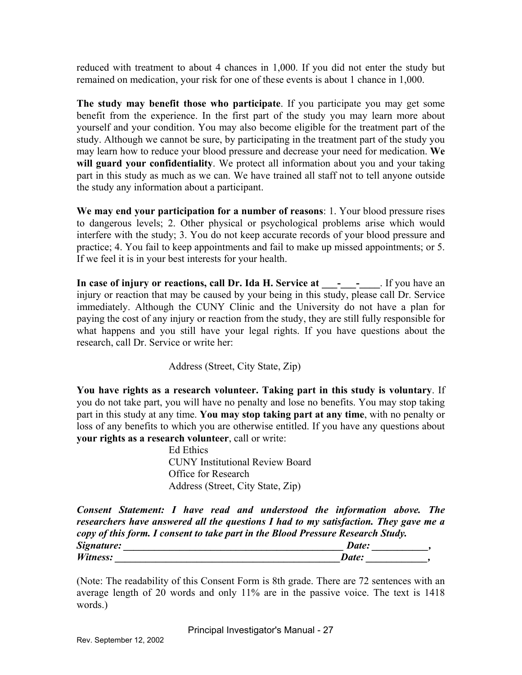reduced with treatment to about 4 chances in 1,000. If you did not enter the study but remained on medication, your risk for one of these events is about 1 chance in 1,000.

**The study may benefit those who participate**. If you participate you may get some benefit from the experience. In the first part of the study you may learn more about yourself and your condition. You may also become eligible for the treatment part of the study. Although we cannot be sure, by participating in the treatment part of the study you may learn how to reduce your blood pressure and decrease your need for medication. **We will guard your confidentiality**. We protect all information about you and your taking part in this study as much as we can. We have trained all staff not to tell anyone outside the study any information about a participant.

**We may end your participation for a number of reasons**: 1. Your blood pressure rises to dangerous levels; 2. Other physical or psychological problems arise which would interfere with the study; 3. You do not keep accurate records of your blood pressure and practice; 4. You fail to keep appointments and fail to make up missed appointments; or 5. If we feel it is in your best interests for your health.

**In case of injury or reactions, call Dr. Ida H. Service at \_\_\_-\_\_\_-\_\_\_\_**. If you have an injury or reaction that may be caused by your being in this study, please call Dr. Service immediately. Although the CUNY Clinic and the University do not have a plan for paying the cost of any injury or reaction from the study, they are still fully responsible for what happens and you still have your legal rights. If you have questions about the research, call Dr. Service or write her:

Address (Street, City State, Zip)

**You have rights as a research volunteer. Taking part in this study is voluntary**. If you do not take part, you will have no penalty and lose no benefits. You may stop taking part in this study at any time. **You may stop taking part at any time**, with no penalty or loss of any benefits to which you are otherwise entitled. If you have any questions about **your rights as a research volunteer**, call or write:

> Ed Ethics CUNY Institutional Review Board Office for Research Address (Street, City State, Zip)

*Consent Statement: I have read and understood the information above. The researchers have answered all the questions I had to my satisfaction. They gave me a copy of this form. I consent to take part in the Blood Pressure Research Study. Signature: \_\_\_\_\_\_\_\_\_\_\_\_\_\_\_\_\_\_\_\_\_\_\_\_\_\_\_\_\_\_\_\_\_\_\_\_\_\_\_\_\_\_\_ Date: \_\_\_\_\_\_\_\_\_\_\_, Witness: Date: Date: Date: Date: Date: Date: Date: Date: Date: Date: Date: Date: Date: Date: Date: Date: Date: Date: Date: Date: Date: Date: Date: Date: Date: Date: Da* 

(Note: The readability of this Consent Form is 8th grade. There are 72 sentences with an average length of 20 words and only 11% are in the passive voice. The text is 1418 words.)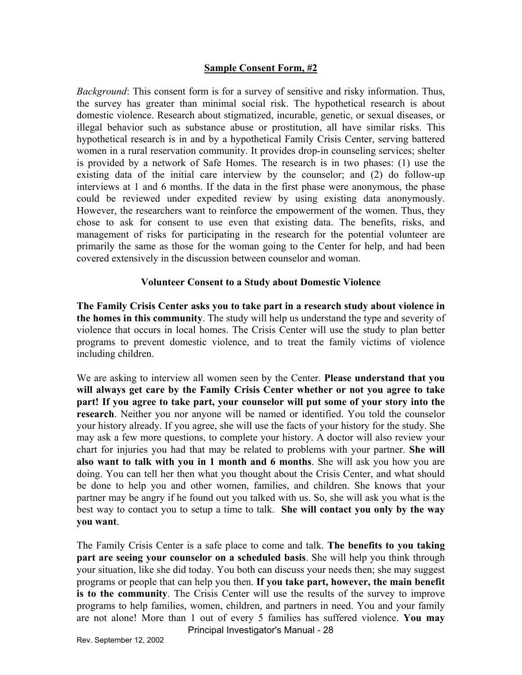#### **Sample Consent Form, #2**

*Background*: This consent form is for a survey of sensitive and risky information. Thus, the survey has greater than minimal social risk. The hypothetical research is about domestic violence. Research about stigmatized, incurable, genetic, or sexual diseases, or illegal behavior such as substance abuse or prostitution, all have similar risks. This hypothetical research is in and by a hypothetical Family Crisis Center, serving battered women in a rural reservation community. It provides drop-in counseling services; shelter is provided by a network of Safe Homes. The research is in two phases: (1) use the existing data of the initial care interview by the counselor; and (2) do follow-up interviews at 1 and 6 months. If the data in the first phase were anonymous, the phase could be reviewed under expedited review by using existing data anonymously. However, the researchers want to reinforce the empowerment of the women. Thus, they chose to ask for consent to use even that existing data. The benefits, risks, and management of risks for participating in the research for the potential volunteer are primarily the same as those for the woman going to the Center for help, and had been covered extensively in the discussion between counselor and woman.

#### **Volunteer Consent to a Study about Domestic Violence**

**The Family Crisis Center asks you to take part in a research study about violence in the homes in this community**. The study will help us understand the type and severity of violence that occurs in local homes. The Crisis Center will use the study to plan better programs to prevent domestic violence, and to treat the family victims of violence including children.

We are asking to interview all women seen by the Center. **Please understand that you will always get care by the Family Crisis Center whether or not you agree to take part! If you agree to take part, your counselor will put some of your story into the research**. Neither you nor anyone will be named or identified. You told the counselor your history already. If you agree, she will use the facts of your history for the study. She may ask a few more questions, to complete your history. A doctor will also review your chart for injuries you had that may be related to problems with your partner. **She will also want to talk with you in 1 month and 6 months**. She will ask you how you are doing. You can tell her then what you thought about the Crisis Center, and what should be done to help you and other women, families, and children. She knows that your partner may be angry if he found out you talked with us. So, she will ask you what is the best way to contact you to setup a time to talk. **She will contact you only by the way you want**.

The Family Crisis Center is a safe place to come and talk. **The benefits to you taking part are seeing your counselor on a scheduled basis**. She will help you think through your situation, like she did today. You both can discuss your needs then; she may suggest programs or people that can help you then. **If you take part, however, the main benefit is to the community**. The Crisis Center will use the results of the survey to improve programs to help families, women, children, and partners in need. You and your family are not alone! More than 1 out of every 5 families has suffered violence. **You may**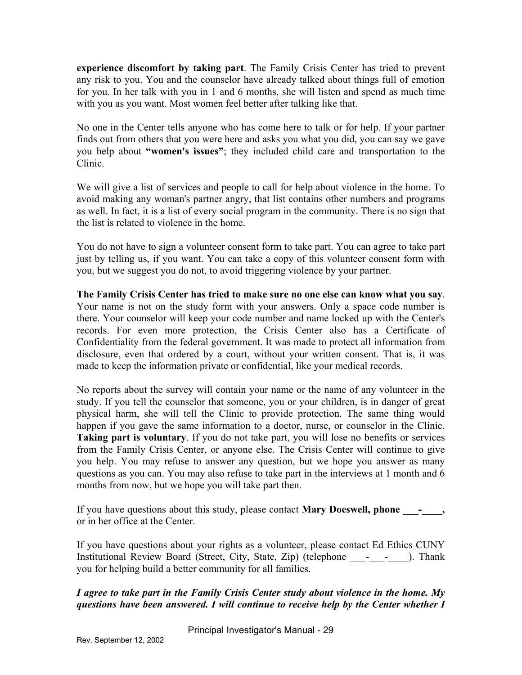**experience discomfort by taking part**. The Family Crisis Center has tried to prevent any risk to you. You and the counselor have already talked about things full of emotion for you. In her talk with you in 1 and 6 months, she will listen and spend as much time with you as you want. Most women feel better after talking like that.

No one in the Center tells anyone who has come here to talk or for help. If your partner finds out from others that you were here and asks you what you did, you can say we gave you help about **"women's issues"**; they included child care and transportation to the Clinic.

We will give a list of services and people to call for help about violence in the home. To avoid making any woman's partner angry, that list contains other numbers and programs as well. In fact, it is a list of every social program in the community. There is no sign that the list is related to violence in the home.

You do not have to sign a volunteer consent form to take part. You can agree to take part just by telling us, if you want. You can take a copy of this volunteer consent form with you, but we suggest you do not, to avoid triggering violence by your partner.

**The Family Crisis Center has tried to make sure no one else can know what you say**. Your name is not on the study form with your answers. Only a space code number is there. Your counselor will keep your code number and name locked up with the Center's records. For even more protection, the Crisis Center also has a Certificate of Confidentiality from the federal government. It was made to protect all information from disclosure, even that ordered by a court, without your written consent. That is, it was made to keep the information private or confidential, like your medical records.

No reports about the survey will contain your name or the name of any volunteer in the study. If you tell the counselor that someone, you or your children, is in danger of great physical harm, she will tell the Clinic to provide protection. The same thing would happen if you gave the same information to a doctor, nurse, or counselor in the Clinic. **Taking part is voluntary**. If you do not take part, you will lose no benefits or services from the Family Crisis Center, or anyone else. The Crisis Center will continue to give you help. You may refuse to answer any question, but we hope you answer as many questions as you can. You may also refuse to take part in the interviews at 1 month and 6 months from now, but we hope you will take part then.

If you have questions about this study, please contact **Mary Doeswell, phone \_\_\_\_\_,** or in her office at the Center.

If you have questions about your rights as a volunteer, please contact Ed Ethics CUNY Institutional Review Board (Street, City, State, Zip) (telephone \_\_\_-\_\_\_-\_\_\_\_). Thank you for helping build a better community for all families.

*I agree to take part in the Family Crisis Center study about violence in the home. My questions have been answered. I will continue to receive help by the Center whether I*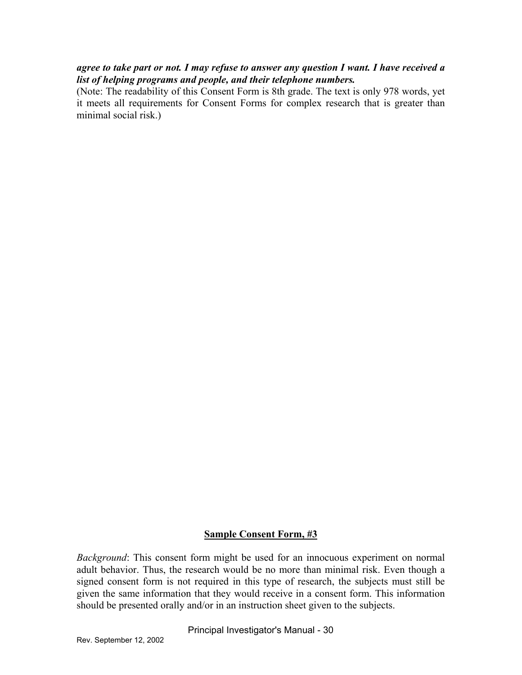#### *agree to take part or not. I may refuse to answer any question I want. I have received a list of helping programs and people, and their telephone numbers.*

(Note: The readability of this Consent Form is 8th grade. The text is only 978 words, yet it meets all requirements for Consent Forms for complex research that is greater than minimal social risk.)

#### **Sample Consent Form, #3**

*Background*: This consent form might be used for an innocuous experiment on normal adult behavior. Thus, the research would be no more than minimal risk. Even though a signed consent form is not required in this type of research, the subjects must still be given the same information that they would receive in a consent form. This information should be presented orally and/or in an instruction sheet given to the subjects.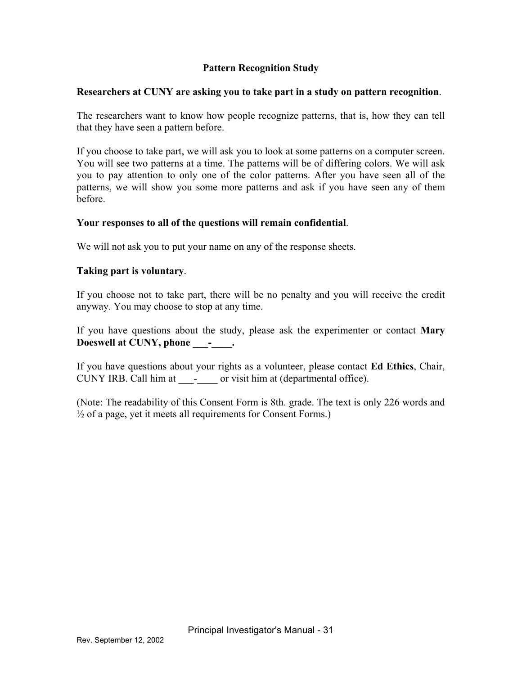### **Pattern Recognition Study**

#### **Researchers at CUNY are asking you to take part in a study on pattern recognition**.

The researchers want to know how people recognize patterns, that is, how they can tell that they have seen a pattern before.

If you choose to take part, we will ask you to look at some patterns on a computer screen. You will see two patterns at a time. The patterns will be of differing colors. We will ask you to pay attention to only one of the color patterns. After you have seen all of the patterns, we will show you some more patterns and ask if you have seen any of them before.

#### **Your responses to all of the questions will remain confidential**.

We will not ask you to put your name on any of the response sheets.

#### **Taking part is voluntary**.

If you choose not to take part, there will be no penalty and you will receive the credit anyway. You may choose to stop at any time.

Doeswell at CUNY, phone \_\_\_\_\_\_\_. If you have questions about the study, please ask the experimenter or contact **Mary** 

If you have questions about your rights as a volunteer, please contact **Ed Ethics**, Chair, CUNY IRB. Call him at \_\_\_\_\_\_\_ or visit him at (departmental office).

(Note: The readability of this Consent Form is 8th. grade. The text is only 226 words and  $\frac{1}{2}$  of a page, yet it meets all requirements for Consent Forms.)